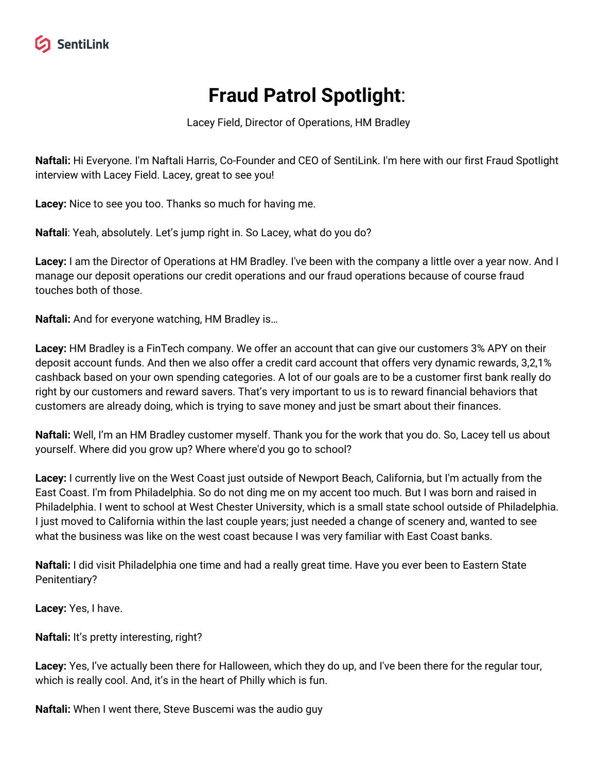# **Fraud Patrol Spotlight**:

Lacey Field, Director of Operations, HM Bradley

**Naftali:** Hi Everyone. I'm Naftali Harris, Co-Founder and CEO of SentiLink. I'm here with our first Fraud Spotlight interview with Lacey Field. Lacey, great to see you!

**Lacey:** Nice to see you too. Thanks so much for having me.

**Naftali**: Yeah, absolutely. Let's jump right in. So Lacey, what do you do?

**Lacey:** I am the Director of Operations at HM Bradley. I've been with the company a little over a year now. And I manage our deposit operations our credit operations and our fraud operations because of course fraud touches both of those.

**Naftali:** And for everyone watching, HM Bradley is…

**Lacey:** HM Bradley is a FinTech company. We offer an account that can give our customers 3% APY on their deposit account funds. And then we also offer a credit card account that offers very dynamic rewards, 3,2,1% cashback based on your own spending categories. A lot of our goals are to be a customer first bank really do right by our customers and reward savers. That's very important to us is to reward financial behaviors that customers are already doing, which is trying to save money and just be smart about their finances.

**Naftali:** Well, I'm an HM Bradley customer myself. Thank you for the work that you do. So, Lacey tell us about yourself. Where did you grow up? Where where'd you go to school?

**Lacey:** I currently live on the West Coast just outside of Newport Beach, California, but I'm actually from the East Coast. I'm from Philadelphia. So do not ding me on my accent too much. But I was born and raised in Philadelphia. I went to school at West Chester University, which is a small state school outside of Philadelphia. I just moved to California within the last couple years; just needed a change of scenery and, wanted to see what the business was like on the west coast because I was very familiar with East Coast banks.

**Naftali:** I did visit Philadelphia one time and had a really great time. Have you ever been to Eastern State Penitentiary?

**Lacey:** Yes, I have.

**Naftali:** It's pretty interesting, right?

**Lacey:** Yes, I've actually been there for Halloween, which they do up, and I've been there for the regular tour, which is really cool. And, it's in the heart of Philly which is fun.

**Naftali:** When I went there, Steve Buscemi was the audio guy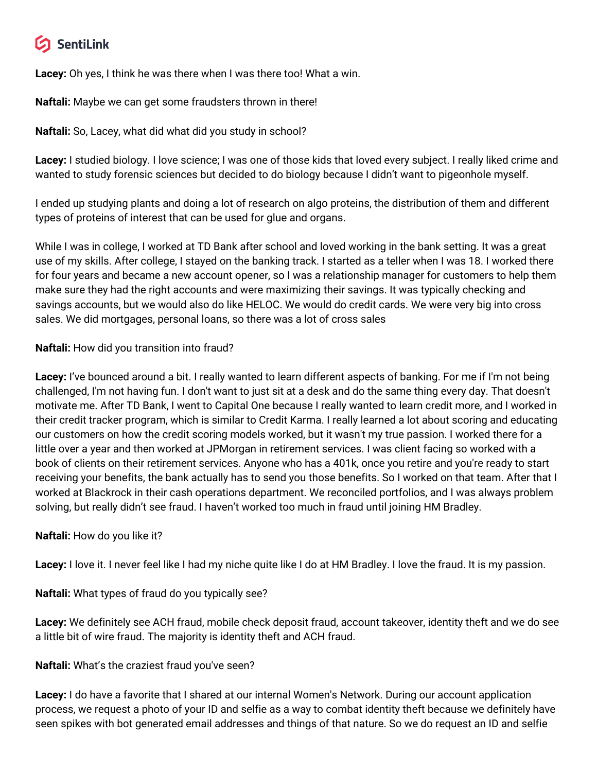## SentiLink

**Lacey:** Oh yes, I think he was there when I was there too! What a win.

**Naftali:** Maybe we can get some fraudsters thrown in there!

**Naftali:** So, Lacey, what did what did you study in school?

**Lacey:** I studied biology. I love science; I was one of those kids that loved every subject. I really liked crime and wanted to study forensic sciences but decided to do biology because I didn't want to pigeonhole myself.

I ended up studying plants and doing a lot of research on algo proteins, the distribution of them and different types of proteins of interest that can be used for glue and organs.

While I was in college, I worked at TD Bank after school and loved working in the bank setting. It was a great use of my skills. After college, I stayed on the banking track. I started as a teller when I was 18. I worked there for four years and became a new account opener, so I was a relationship manager for customers to help them make sure they had the right accounts and were maximizing their savings. It was typically checking and savings accounts, but we would also do like HELOC. We would do credit cards. We were very big into cross sales. We did mortgages, personal loans, so there was a lot of cross sales

### **Naftali:** How did you transition into fraud?

**Lacey:** I've bounced around a bit. I really wanted to learn different aspects of banking. For me if I'm not being challenged, I'm not having fun. I don't want to just sit at a desk and do the same thing every day. That doesn't motivate me. After TD Bank, I went to Capital One because I really wanted to learn credit more, and I worked in their credit tracker program, which is similar to Credit Karma. I really learned a lot about scoring and educating our customers on how the credit scoring models worked, but it wasn't my true passion. I worked there for a little over a year and then worked at JPMorgan in retirement services. I was client facing so worked with a book of clients on their retirement services. Anyone who has a 401k, once you retire and you're ready to start receiving your benefits, the bank actually has to send you those benefits. So I worked on that team. After that I worked at Blackrock in their cash operations department. We reconciled portfolios, and I was always problem solving, but really didn't see fraud. I haven't worked too much in fraud until joining HM Bradley.

#### **Naftali:** How do you like it?

**Lacey:** I love it. I never feel like I had my niche quite like I do at HM Bradley. I love the fraud. It is my passion.

**Naftali:** What types of fraud do you typically see?

**Lacey:** We definitely see ACH fraud, mobile check deposit fraud, account takeover, identity theft and we do see a little bit of wire fraud. The majority is identity theft and ACH fraud.

#### **Naftali:** What's the craziest fraud you've seen?

**Lacey:** I do have a favorite that I shared at our internal Women's Network. During our account application process, we request a photo of your ID and selfie as a way to combat identity theft because we definitely have seen spikes with bot generated email addresses and things of that nature. So we do request an ID and selfie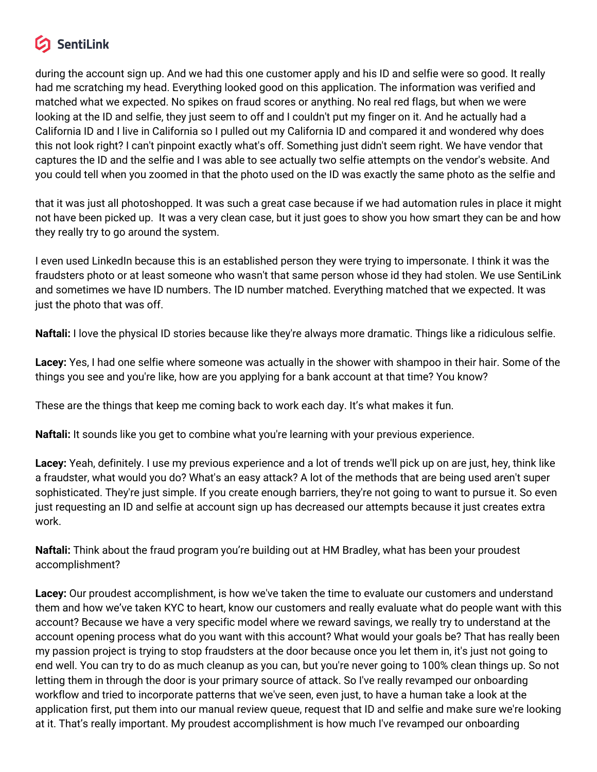## SentiLink

during the account sign up. And we had this one customer apply and his ID and selfie were so good. It really had me scratching my head. Everything looked good on this application. The information was verified and matched what we expected. No spikes on fraud scores or anything. No real red flags, but when we were looking at the ID and selfie, they just seem to off and I couldn't put my finger on it. And he actually had a California ID and I live in California so I pulled out my California ID and compared it and wondered why does this not look right? I can't pinpoint exactly what's off. Something just didn't seem right. We have vendor that captures the ID and the selfie and I was able to see actually two selfie attempts on the vendor's website. And you could tell when you zoomed in that the photo used on the ID was exactly the same photo as the selfie and

that it was just all photoshopped. It was such a great case because if we had automation rules in place it might not have been picked up. It was a very clean case, but it just goes to show you how smart they can be and how they really try to go around the system.

I even used LinkedIn because this is an established person they were trying to impersonate. I think it was the fraudsters photo or at least someone who wasn't that same person whose id they had stolen. We use SentiLink and sometimes we have ID numbers. The ID number matched. Everything matched that we expected. It was just the photo that was off.

**Naftali:** I love the physical ID stories because like they're always more dramatic. Things like a ridiculous selfie.

**Lacey:** Yes, I had one selfie where someone was actually in the shower with shampoo in their hair. Some of the things you see and you're like, how are you applying for a bank account at that time? You know?

These are the things that keep me coming back to work each day. It's what makes it fun.

**Naftali:** It sounds like you get to combine what you're learning with your previous experience.

**Lacey:** Yeah, definitely. I use my previous experience and a lot of trends we'll pick up on are just, hey, think like a fraudster, what would you do? What's an easy attack? A lot of the methods that are being used aren't super sophisticated. They're just simple. If you create enough barriers, they're not going to want to pursue it. So even just requesting an ID and selfie at account sign up has decreased our attempts because it just creates extra work.

**Naftali:** Think about the fraud program you're building out at HM Bradley, what has been your proudest accomplishment?

**Lacey:** Our proudest accomplishment, is how we've taken the time to evaluate our customers and understand them and how we've taken KYC to heart, know our customers and really evaluate what do people want with this account? Because we have a very specific model where we reward savings, we really try to understand at the account opening process what do you want with this account? What would your goals be? That has really been my passion project is trying to stop fraudsters at the door because once you let them in, it's just not going to end well. You can try to do as much cleanup as you can, but you're never going to 100% clean things up. So not letting them in through the door is your primary source of attack. So I've really revamped our onboarding workflow and tried to incorporate patterns that we've seen, even just, to have a human take a look at the application first, put them into our manual review queue, request that ID and selfie and make sure we're looking at it. That's really important. My proudest accomplishment is how much I've revamped our onboarding